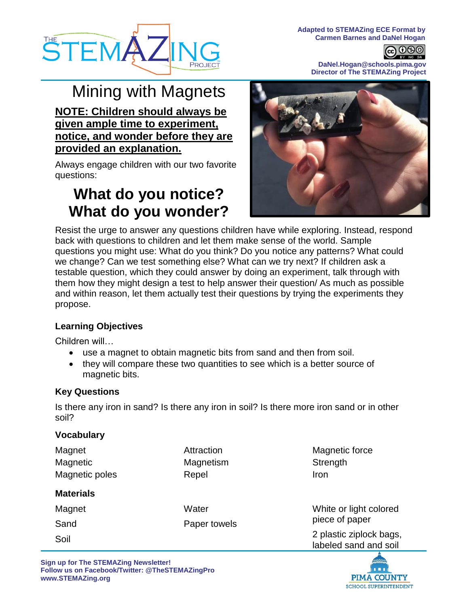



**DaNel.Hogan@schools.pima.gov Director of The STEMAZing Project**

**@©®** 

# Mining with Magnets

**NOTE: Children should always be given ample time to experiment, notice, and wonder before they are provided an explanation.**

Always engage children with our two favorite questions:

# **What do you notice? What do you wonder?**



Resist the urge to answer any questions children have while exploring. Instead, respond back with questions to children and let them make sense of the world. Sample questions you might use: What do you think? Do you notice any patterns? What could we change? Can we test something else? What can we try next? If children ask a testable question, which they could answer by doing an experiment, talk through with them how they might design a test to help answer their question/ As much as possible and within reason, let them actually test their questions by trying the experiments they propose.

## **Learning Objectives**

Children will…

- use a magnet to obtain magnetic bits from sand and then from soil.
- they will compare these two quantities to see which is a better source of magnetic bits.

#### **Key Questions**

Is there any iron in sand? Is there any iron in soil? Is there more iron sand or in other soil?

#### **Vocabulary**

| Magnet<br>Magnetic<br>Magnetic poles | Attraction<br>Magnetism<br>Repel | Magnetic force<br>Strength<br><b>Iron</b>        |
|--------------------------------------|----------------------------------|--------------------------------------------------|
| <b>Materials</b>                     |                                  |                                                  |
| Magnet                               | Water<br>Paper towels            | White or light colored<br>piece of paper         |
| Sand                                 |                                  |                                                  |
| Soil                                 |                                  | 2 plastic ziplock bags,<br>labeled sand and soil |

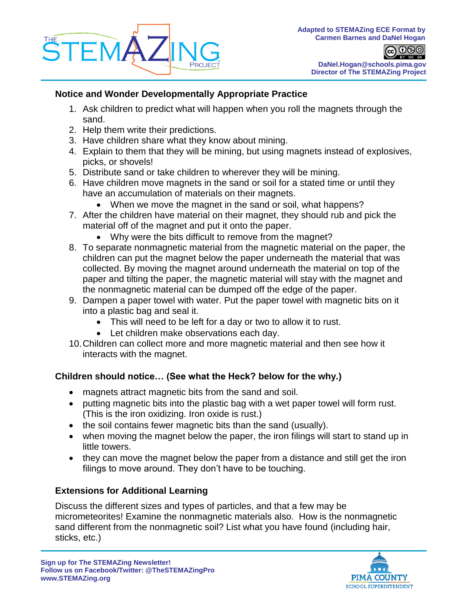

@ 0® BY NO SA **DaNel.Hogan@schools.pima.gov Director of The STEMAZing Project**

### **Notice and Wonder Developmentally Appropriate Practice**

- 1. Ask children to predict what will happen when you roll the magnets through the sand.
- 2. Help them write their predictions.
- 3. Have children share what they know about mining.
- 4. Explain to them that they will be mining, but using magnets instead of explosives, picks, or shovels!
- 5. Distribute sand or take children to wherever they will be mining.
- 6. Have children move magnets in the sand or soil for a stated time or until they have an accumulation of materials on their magnets.
	- When we move the magnet in the sand or soil, what happens?
- 7. After the children have material on their magnet, they should rub and pick the material off of the magnet and put it onto the paper.
	- Why were the bits difficult to remove from the magnet?
- 8. To separate nonmagnetic material from the magnetic material on the paper, the children can put the magnet below the paper underneath the material that was collected. By moving the magnet around underneath the material on top of the paper and tilting the paper, the magnetic material will stay with the magnet and the nonmagnetic material can be dumped off the edge of the paper.
- 9. Dampen a paper towel with water. Put the paper towel with magnetic bits on it into a plastic bag and seal it.
	- This will need to be left for a day or two to allow it to rust.
	- Let children make observations each day.
- 10.Children can collect more and more magnetic material and then see how it interacts with the magnet.

## **Children should notice… (See what the Heck? below for the why.)**

- magnets attract magnetic bits from the sand and soil.
- putting magnetic bits into the plastic bag with a wet paper towel will form rust. (This is the iron oxidizing. Iron oxide is rust.)
- the soil contains fewer magnetic bits than the sand (usually).
- when moving the magnet below the paper, the iron filings will start to stand up in little towers.
- they can move the magnet below the paper from a distance and still get the iron filings to move around. They don't have to be touching.

## **Extensions for Additional Learning**

Discuss the different sizes and types of particles, and that a few may be micrometeorites! Examine the nonmagnetic materials also. How is the nonmagnetic sand different from the nonmagnetic soil? List what you have found (including hair, sticks, etc.)

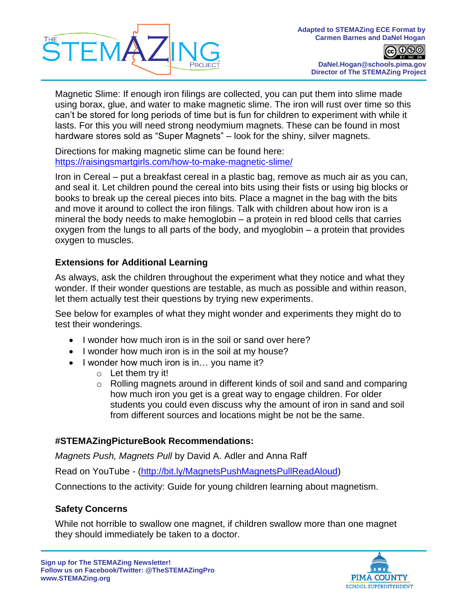

**@©®** BY NC SA **DaNel.Hogan@schools.pima.gov Director of The STEMAZing Project**

Magnetic Slime: If enough iron filings are collected, you can put them into slime made using borax, glue, and water to make magnetic slime. The iron will rust over time so this can't be stored for long periods of time but is fun for children to experiment with while it lasts. For this you will need strong neodymium magnets. These can be found in most hardware stores sold as "Super Magnets" – look for the shiny, silver magnets.

Directions for making magnetic slime can be found here: <https://raisingsmartgirls.com/how-to-make-magnetic-slime/>

Iron in Cereal – put a breakfast cereal in a plastic bag, remove as much air as you can, and seal it. Let children pound the cereal into bits using their fists or using big blocks or books to break up the cereal pieces into bits. Place a magnet in the bag with the bits and move it around to collect the iron filings. Talk with children about how iron is a mineral the body needs to make hemoglobin – a protein in red blood cells that carries oxygen from the lungs to all parts of the body, and myoglobin – a protein that provides oxygen to muscles.

## **Extensions for Additional Learning**

As always, ask the children throughout the experiment what they notice and what they wonder. If their wonder questions are testable, as much as possible and within reason, let them actually test their questions by trying new experiments.

See below for examples of what they might wonder and experiments they might do to test their wonderings.

- I wonder how much iron is in the soil or sand over here?
- I wonder how much iron is in the soil at my house?
- $\bullet$  I wonder how much iron is in... you name it?
	- $\circ$  Let them try it!
	- $\circ$  Rolling magnets around in different kinds of soil and sand and comparing how much iron you get is a great way to engage children. For older students you could even discuss why the amount of iron in sand and soil from different sources and locations might be not be the same.

## **#STEMAZingPictureBook Recommendations:**

*Magnets Push, Magnets Pull* by David A. Adler and Anna Raff

Read on YouTube - [\(http://bit.ly/MagnetsPushMagnetsPullReadAloud\)](http://bit.ly/MagnetsPushMagnetsPullReadAloud)

Connections to the activity: Guide for young children learning about magnetism.

#### **Safety Concerns**

While not horrible to swallow one magnet, if children swallow more than one magnet they should immediately be taken to a doctor.